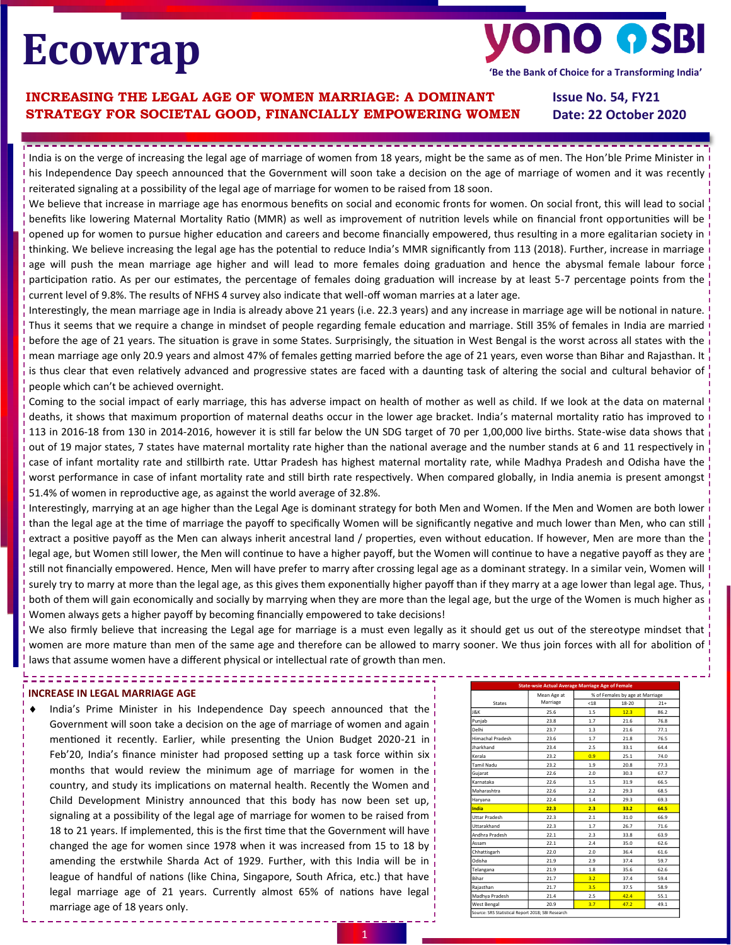# **Ecowrap**

# **VONO OSI**

**'Be the Bank of Choice for a Transforming India'**

# **INCREASING THE LEGAL AGE OF WOMEN MARRIAGE: A DOMINANT STRATEGY FOR SOCIETAL GOOD, FINANCIALLY EMPOWERING WOMEN**

**Issue No. 54, FY21 Date: 22 October 2020**

India is on the verge of increasing the legal age of marriage of women from 18 years, might be the same as of men. The Hon'ble Prime Minister in his Independence Day speech announced that the Government will soon take a decision on the age of marriage of women and it was recently reiterated signaling at a possibility of the legal age of marriage for women to be raised from 18 soon.

We believe that increase in marriage age has enormous benefits on social and economic fronts for women. On social front, this will lead to social benefits like lowering Maternal Mortality Ratio (MMR) as well as improvement of nutrition levels while on financial front opportunities will be opened up for women to pursue higher education and careers and become financially empowered, thus resulting in a more egalitarian society in thinking. We believe increasing the legal age has the potential to reduce India's MMR significantly from 113 (2018). Further, increase in marriage age will push the mean marriage age higher and will lead to more females doing graduation and hence the abysmal female labour force participation ratio. As per our estimates, the percentage of females doing graduation will increase by at least 5-7 percentage points from the current level of 9.8%. The results of NFHS 4 survey also indicate that well-off woman marries at a later age.

Interestingly, the mean marriage age in India is already above 21 years (i.e. 22.3 years) and any increase in marriage age will be notional in nature. Thus it seems that we require a change in mindset of people regarding female education and marriage. Still 35% of females in India are married before the age of 21 years. The situation is grave in some States. Surprisingly, the situation in West Bengal is the worst across all states with the mean marriage age only 20.9 years and almost 47% of females getting married before the age of 21 years, even worse than Bihar and Rajasthan. It is thus clear that even relatively advanced and progressive states are faced with a daunting task of altering the social and cultural behavior of people which can't be achieved overnight.

Coming to the social impact of early marriage, this has adverse impact on health of mother as well as child. If we look at the data on maternal deaths, it shows that maximum proportion of maternal deaths occur in the lower age bracket. India's maternal mortality ratio has improved to 113 in 2016-18 from 130 in 2014-2016, however it is still far below the UN SDG target of 70 per 1,00,000 live births. State-wise data shows that out of 19 major states, 7 states have maternal mortality rate higher than the national average and the number stands at 6 and 11 respectively in case of infant mortality rate and stillbirth rate. Uttar Pradesh has highest maternal mortality rate, while Madhya Pradesh and Odisha have the worst performance in case of infant mortality rate and still birth rate respectively. When compared globally, in India anemia is present amongst 51.4% of women in reproductive age, as against the world average of 32.8%.

Interestingly, marrying at an age higher than the Legal Age is dominant strategy for both Men and Women. If the Men and Women are both lower than the legal age at the time of marriage the payoff to specifically Women will be significantly negative and much lower than Men, who can still extract a positive payoff as the Men can always inherit ancestral land / properties, even without education. If however, Men are more than the legal age, but Women still lower, the Men will continue to have a higher payoff, but the Women will continue to have a negative payoff as they are still not financially empowered. Hence, Men will have prefer to marry after crossing legal age as a dominant strategy. In a similar vein, Women will surely try to marry at more than the legal age, as this gives them exponentially higher payoff than if they marry at a age lower than legal age. Thus, both of them will gain economically and socially by marrying when they are more than the legal age, but the urge of the Women is much higher as Women always gets a higher payoff by becoming financially empowered to take decisions!

We also firmly believe that increasing the Legal age for marriage is a must even legally as it should get us out of the stereotype mindset that women are more mature than men of the same age and therefore can be allowed to marry sooner. We thus join forces with all for abolition of laws that assume women have a different physical or intellectual rate of growth than men.

# **INCREASE IN LEGAL MARRIAGE AGE**

 India's Prime Minister in his Independence Day speech announced that the Government will soon take a decision on the age of marriage of women and again mentioned it recently. Earlier, while presenting the Union Budget 2020-21 in Feb'20, India's finance minister had proposed setting up a task force within six months that would review the minimum age of marriage for women in the country, and study its implications on maternal health. Recently the Women and Child Development Ministry announced that this body has now been set up, signaling at a possibility of the legal age of marriage for women to be raised from 18 to 21 years. If implemented, this is the first time that the Government will have changed the age for women since 1978 when it was increased from 15 to 18 by amending the erstwhile Sharda Act of 1929. Further, with this India will be in league of handful of nations (like China, Singapore, South Africa, etc.) that have legal marriage age of 21 years. Currently almost 65% of nations have legal marriage age of 18 years only.

|                      | <b>State-wsie Actual Average Marriage Age of Female</b> |                                 |       |       |  |
|----------------------|---------------------------------------------------------|---------------------------------|-------|-------|--|
|                      | Mean Age at                                             | % of Females by age at Marriage |       |       |  |
| <b>States</b>        | Marriage                                                | < 18                            | 18-20 | $21+$ |  |
| J&K                  | 25.6                                                    | 1.5                             | 12.3  | 86.2  |  |
| Puniab               | 23.8                                                    | 1.7                             | 21.6  | 76.8  |  |
| Delhi                | 23.7                                                    | 1.3                             | 21.6  | 77.1  |  |
| Himachal Pradesh     | 23.6                                                    | 1.7                             | 21.8  | 76.5  |  |
| Jharkhand            | 23.4                                                    | 2.5                             | 33.1  | 64.4  |  |
| Kerala               | 23.2                                                    | 0.9                             | 25.1  | 74.0  |  |
| <b>Tamil Nadu</b>    | 23.2                                                    | 1.9                             | 20.8  | 77.3  |  |
| Gujarat              | 22.6                                                    | 2.0                             | 30.3  | 67.7  |  |
| Karnataka            | 22.6                                                    | 1.5                             | 31.9  | 66.5  |  |
| Maharashtra          | 22.6                                                    | 2.2                             | 29.3  | 68.5  |  |
| Haryana              | 22.4                                                    | 1.4                             | 29.3  | 69.3  |  |
| India                | 22.3                                                    | 2.3                             | 33.2  | 64.5  |  |
| <b>Uttar Pradesh</b> | 22.3                                                    | 2.1                             | 31.0  | 66.9  |  |
| Uttarakhand          | 22.3                                                    | 1.7                             | 26.7  | 71.6  |  |
| Andhra Pradesh       | 22.1                                                    | 2.3                             | 33.8  | 63.9  |  |
| Assam                | 22.1                                                    | 2.4                             | 35.0  | 62.6  |  |
| Chhattisgarh         | 22.0                                                    | 2.0                             | 36.4  | 61.6  |  |
| Odisha               | 21.9                                                    | 2.9                             | 37.4  | 59.7  |  |
| Telangana            | 21.9                                                    | 1.8                             | 35.6  | 62.6  |  |
| Bihar                | 21.7                                                    | 3.2                             | 37.4  | 59.4  |  |
| Rajasthan            | 21.7                                                    | 3.5 <sub>1</sub>                | 37.5  | 58.9  |  |
| Madhya Pradesh       | 21.4                                                    | 2.5                             | 42.4  | 55.1  |  |
| West Bengal          | 20.9                                                    | 3.7                             | 47.2  | 49.1  |  |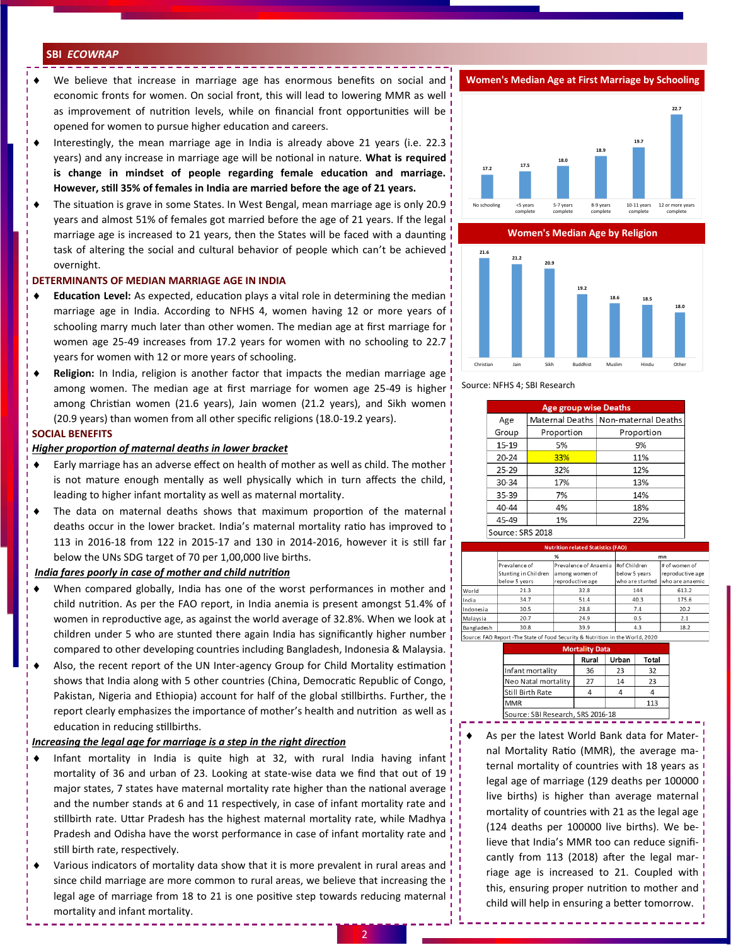# **SBI** *ECOWRAP*

- We believe that increase in marriage age has enormous benefits on social and economic fronts for women. On social front, this will lead to lowering MMR as well as improvement of nutrition levels, while on financial front opportunities will be opened for women to pursue higher education and careers.
- Interestingly, the mean marriage age in India is already above 21 years (i.e. 22.3 years) and any increase in marriage age will be notional in nature. **What is required is change in mindset of people regarding female education and marriage. However, still 35% of females in India are married before the age of 21 years.**
- The situation is grave in some States. In West Bengal, mean marriage age is only 20.9 years and almost 51% of females got married before the age of 21 years. If the legal marriage age is increased to 21 years, then the States will be faced with a daunting task of altering the social and cultural behavior of people which can't be achieved overnight.

# **DETERMINANTS OF MEDIAN MARRIAGE AGE IN INDIA**

- **Education Level:** As expected, education plays a vital role in determining the median marriage age in India. According to NFHS 4, women having 12 or more years of schooling marry much later than other women. The median age at first marriage for women age 25-49 increases from 17.2 years for women with no schooling to 22.7 years for women with 12 or more years of schooling.
- **Religion:** In India, religion is another factor that impacts the median marriage age among women. The median age at first marriage for women age 25-49 is higher among Christian women (21.6 years), Jain women (21.2 years), and Sikh women (20.9 years) than women from all other specific religions (18.0-19.2 years).

# **SOCIAL BENEFITS**

# *Higher proportion of maternal deaths in lower bracket*

- Early marriage has an adverse effect on health of mother as well as child. The mother is not mature enough mentally as well physically which in turn affects the child, leading to higher infant mortality as well as maternal mortality.
- The data on maternal deaths shows that maximum proportion of the maternal deaths occur in the lower bracket. India's maternal mortality ratio has improved to 113 in 2016-18 from 122 in 2015-17 and 130 in 2014-2016, however it is still far below the UNs SDG target of 70 per 1,00,000 live births.

#### *India fares poorly in case of mother and child nutrition*

- When compared globally, India has one of the worst performances in mother and child nutrition. As per the FAO report, in India anemia is present amongst 51.4% of women in reproductive age, as against the world average of 32.8%. When we look at children under 5 who are stunted there again India has significantly higher number compared to other developing countries including Bangladesh, Indonesia & Malaysia.
- Also, the recent report of the UN Inter-agency Group for Child Mortality estimation shows that India along with 5 other countries (China, Democratic Republic of Congo, Pakistan, Nigeria and Ethiopia) account for half of the global stillbirths. Further, the report clearly emphasizes the importance of mother's health and nutrition as well as education in reducing stillbirths.

# *Increasing the legal age for marriage is a step in the right direction*

- Infant mortality in India is quite high at 32, with rural India having infant mortality of 36 and urban of 23. Looking at state-wise data we find that out of 19 major states, 7 states have maternal mortality rate higher than the national average and the number stands at 6 and 11 respectively, in case of infant mortality rate and stillbirth rate. Uttar Pradesh has the highest maternal mortality rate, while Madhya Pradesh and Odisha have the worst performance in case of infant mortality rate and still birth rate, respectively.
- Various indicators of mortality data show that it is more prevalent in rural areas and since child marriage are more common to rural areas, we believe that increasing the legal age of marriage from 18 to 21 is one positive step towards reducing maternal mortality and infant mortality.

**Women's Median Age at First Marriage by Schooling**



**Women's Median Age by Religion**



Source: NFHS 4; SBI Research

| <b>Age group wise Deaths</b> |            |                                       |  |  |
|------------------------------|------------|---------------------------------------|--|--|
| Age                          |            | Maternal Deaths   Non-maternal Deaths |  |  |
| Group                        | Proportion | Proportion                            |  |  |
| 15-19                        | 5%         | 9%                                    |  |  |
| $20 - 24$                    | 33%        | 11%                                   |  |  |
| $25 - 29$                    | 32%        | 12%                                   |  |  |
| 30-34                        | 17%        | 13%                                   |  |  |
| 35-39                        | 7%         | 14%                                   |  |  |
| 40-44                        | 4%         | 18%                                   |  |  |
| 45-49                        | 1%         | 22%                                   |  |  |
| Source: SRS 2018             |            |                                       |  |  |

|            | <b>Nutrition related Statistics (FAO)</b>                                     |                       |                 |                  |  |  |
|------------|-------------------------------------------------------------------------------|-----------------------|-----------------|------------------|--|--|
|            | %                                                                             |                       | mn              |                  |  |  |
|            | Prevalence of                                                                 | Prevalence of Anaemia | #of Children    | # of women of    |  |  |
|            | Stunting in Children                                                          | among women of        | below 5 years   | reproductive age |  |  |
|            | below 5 years                                                                 | reproductive age      | who are stunted | who are anaemic  |  |  |
| World      | 21.3                                                                          | 32.8                  | 144             | 613.2            |  |  |
| India      | 34.7                                                                          | 51.4                  | 40.3            | 175.6            |  |  |
| Indonesia  | 30.5                                                                          | 28.8                  | 7.4             | 20.2             |  |  |
| Malaysia   | 20.7                                                                          | 24.9                  | 0.5             | 2.1              |  |  |
| Bangladesh | 30.8                                                                          | 39.9                  | 4.3             | 18.2             |  |  |
|            | Source: FAO Report -The State of Food Security & Nutrition in the World, 2020 |                       |                 |                  |  |  |

| Rural | Urban | <b>Total</b>                      |
|-------|-------|-----------------------------------|
| 36    | 23    | 32                                |
| 27    | 14    | 23                                |
|       |       |                                   |
|       |       | 113                               |
|       |       | Source: SBI Research, SRS 2016-18 |

 As per the latest World Bank data for Maternal Mortality Ratio (MMR), the average maternal mortality of countries with 18 years as legal age of marriage (129 deaths per 100000 live births) is higher than average maternal mortality of countries with 21 as the legal age (124 deaths per 100000 live births). We believe that India's MMR too can reduce significantly from 113 (2018) after the legal marriage age is increased to 21. Coupled with this, ensuring proper nutrition to mother and child will help in ensuring a better tomorrow.

------------